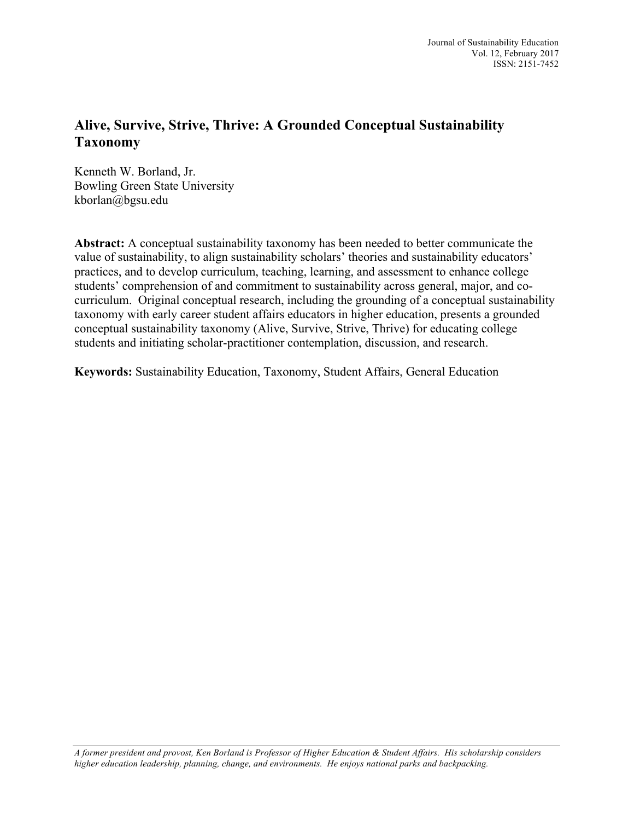# **Alive, Survive, Strive, Thrive: A Grounded Conceptual Sustainability Taxonomy**

Kenneth W. Borland, Jr. Bowling Green State University kborlan@bgsu.edu

**Abstract:** A conceptual sustainability taxonomy has been needed to better communicate the value of sustainability, to align sustainability scholars' theories and sustainability educators' practices, and to develop curriculum, teaching, learning, and assessment to enhance college students' comprehension of and commitment to sustainability across general, major, and cocurriculum. Original conceptual research, including the grounding of a conceptual sustainability taxonomy with early career student affairs educators in higher education, presents a grounded conceptual sustainability taxonomy (Alive, Survive, Strive, Thrive) for educating college students and initiating scholar-practitioner contemplation, discussion, and research.

**Keywords:** Sustainability Education, Taxonomy, Student Affairs, General Education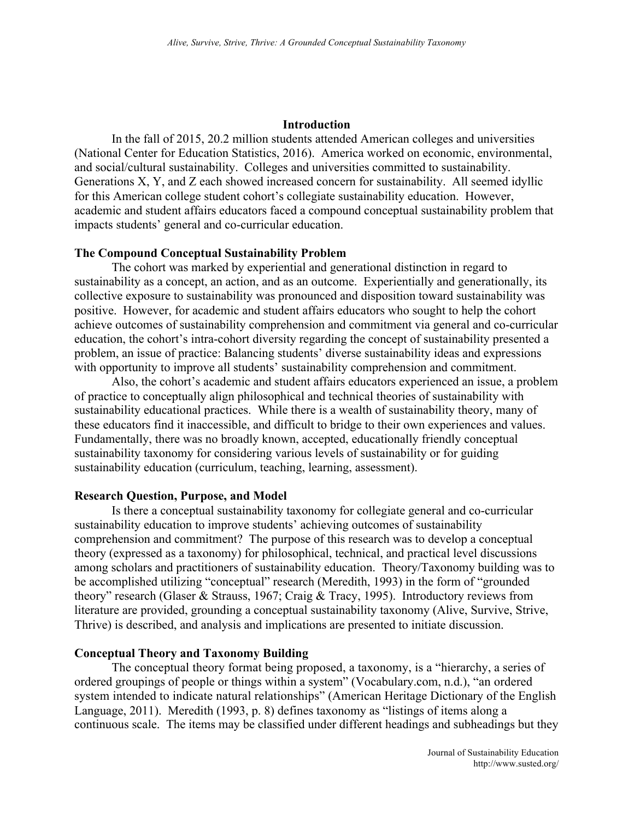### **Introduction**

In the fall of 2015, 20.2 million students attended American colleges and universities (National Center for Education Statistics, 2016). America worked on economic, environmental, and social/cultural sustainability. Colleges and universities committed to sustainability. Generations X, Y, and Z each showed increased concern for sustainability. All seemed idyllic for this American college student cohort's collegiate sustainability education. However, academic and student affairs educators faced a compound conceptual sustainability problem that impacts students' general and co-curricular education.

# **The Compound Conceptual Sustainability Problem**

The cohort was marked by experiential and generational distinction in regard to sustainability as a concept, an action, and as an outcome. Experientially and generationally, its collective exposure to sustainability was pronounced and disposition toward sustainability was positive. However, for academic and student affairs educators who sought to help the cohort achieve outcomes of sustainability comprehension and commitment via general and co-curricular education, the cohort's intra-cohort diversity regarding the concept of sustainability presented a problem, an issue of practice: Balancing students' diverse sustainability ideas and expressions with opportunity to improve all students' sustainability comprehension and commitment.

Also, the cohort's academic and student affairs educators experienced an issue, a problem of practice to conceptually align philosophical and technical theories of sustainability with sustainability educational practices. While there is a wealth of sustainability theory, many of these educators find it inaccessible, and difficult to bridge to their own experiences and values. Fundamentally, there was no broadly known, accepted, educationally friendly conceptual sustainability taxonomy for considering various levels of sustainability or for guiding sustainability education (curriculum, teaching, learning, assessment).

### **Research Question, Purpose, and Model**

Is there a conceptual sustainability taxonomy for collegiate general and co-curricular sustainability education to improve students' achieving outcomes of sustainability comprehension and commitment? The purpose of this research was to develop a conceptual theory (expressed as a taxonomy) for philosophical, technical, and practical level discussions among scholars and practitioners of sustainability education. Theory/Taxonomy building was to be accomplished utilizing "conceptual" research (Meredith, 1993) in the form of "grounded theory" research (Glaser & Strauss, 1967; Craig & Tracy, 1995). Introductory reviews from literature are provided, grounding a conceptual sustainability taxonomy (Alive, Survive, Strive, Thrive) is described, and analysis and implications are presented to initiate discussion.

# **Conceptual Theory and Taxonomy Building**

The conceptual theory format being proposed, a taxonomy, is a "hierarchy, a series of ordered groupings of people or things within a system" (Vocabulary.com, n.d.), "an ordered system intended to indicate natural relationships" (American Heritage Dictionary of the English Language, 2011). Meredith (1993, p. 8) defines taxonomy as "listings of items along a continuous scale. The items may be classified under different headings and subheadings but they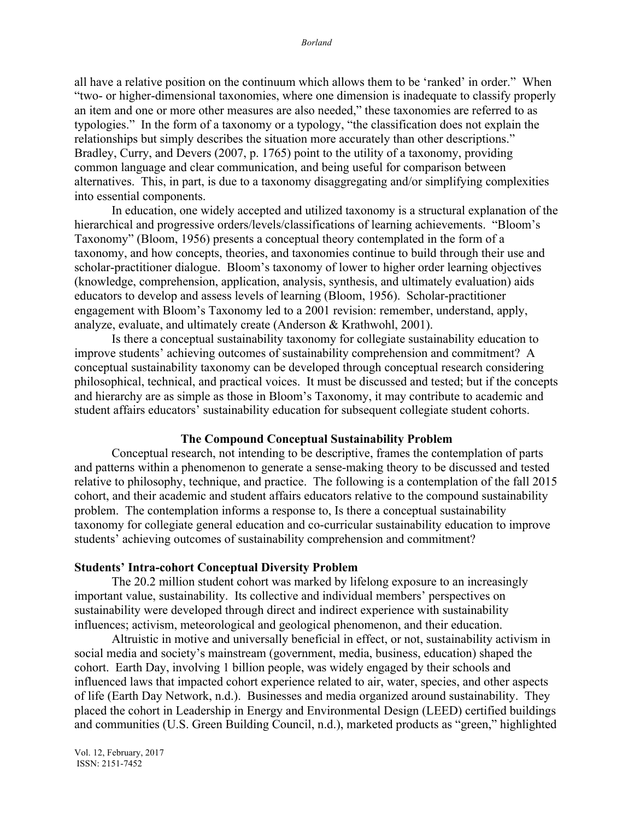all have a relative position on the continuum which allows them to be 'ranked' in order." When "two- or higher-dimensional taxonomies, where one dimension is inadequate to classify properly an item and one or more other measures are also needed," these taxonomies are referred to as typologies." In the form of a taxonomy or a typology, "the classification does not explain the relationships but simply describes the situation more accurately than other descriptions." Bradley, Curry, and Devers (2007, p. 1765) point to the utility of a taxonomy, providing common language and clear communication, and being useful for comparison between alternatives. This, in part, is due to a taxonomy disaggregating and/or simplifying complexities into essential components.

In education, one widely accepted and utilized taxonomy is a structural explanation of the hierarchical and progressive orders/levels/classifications of learning achievements. "Bloom's Taxonomy" (Bloom, 1956) presents a conceptual theory contemplated in the form of a taxonomy, and how concepts, theories, and taxonomies continue to build through their use and scholar-practitioner dialogue. Bloom's taxonomy of lower to higher order learning objectives (knowledge, comprehension, application, analysis, synthesis, and ultimately evaluation) aids educators to develop and assess levels of learning (Bloom, 1956). Scholar-practitioner engagement with Bloom's Taxonomy led to a 2001 revision: remember, understand, apply, analyze, evaluate, and ultimately create (Anderson & Krathwohl, 2001).

Is there a conceptual sustainability taxonomy for collegiate sustainability education to improve students' achieving outcomes of sustainability comprehension and commitment? A conceptual sustainability taxonomy can be developed through conceptual research considering philosophical, technical, and practical voices. It must be discussed and tested; but if the concepts and hierarchy are as simple as those in Bloom's Taxonomy, it may contribute to academic and student affairs educators' sustainability education for subsequent collegiate student cohorts.

## **The Compound Conceptual Sustainability Problem**

Conceptual research, not intending to be descriptive, frames the contemplation of parts and patterns within a phenomenon to generate a sense-making theory to be discussed and tested relative to philosophy, technique, and practice. The following is a contemplation of the fall 2015 cohort, and their academic and student affairs educators relative to the compound sustainability problem. The contemplation informs a response to, Is there a conceptual sustainability taxonomy for collegiate general education and co-curricular sustainability education to improve students' achieving outcomes of sustainability comprehension and commitment?

#### **Students' Intra-cohort Conceptual Diversity Problem**

The 20.2 million student cohort was marked by lifelong exposure to an increasingly important value, sustainability. Its collective and individual members' perspectives on sustainability were developed through direct and indirect experience with sustainability influences; activism, meteorological and geological phenomenon, and their education.

Altruistic in motive and universally beneficial in effect, or not, sustainability activism in social media and society's mainstream (government, media, business, education) shaped the cohort. Earth Day, involving 1 billion people, was widely engaged by their schools and influenced laws that impacted cohort experience related to air, water, species, and other aspects of life (Earth Day Network, n.d.). Businesses and media organized around sustainability. They placed the cohort in Leadership in Energy and Environmental Design (LEED) certified buildings and communities (U.S. Green Building Council, n.d.), marketed products as "green," highlighted

Vol. 12, February, 2017 ISSN: 2151-7452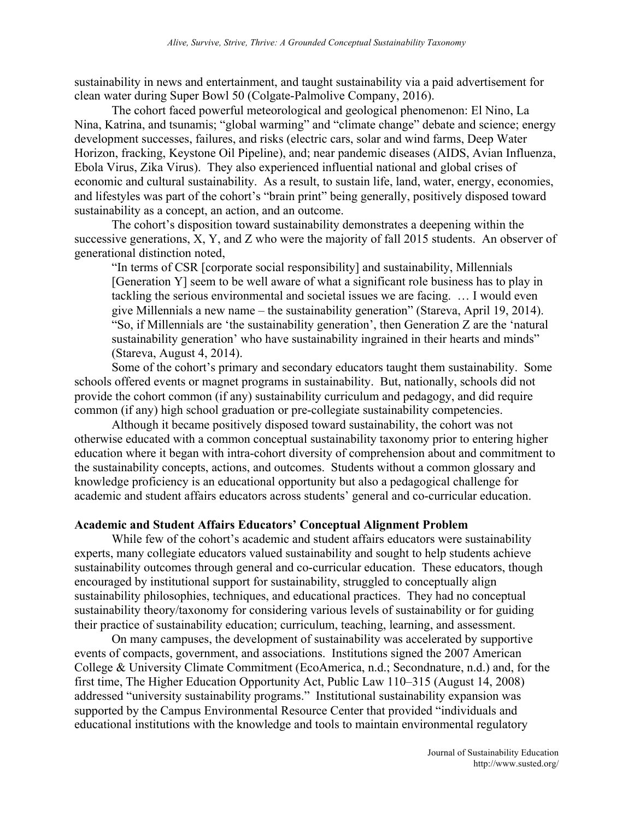sustainability in news and entertainment, and taught sustainability via a paid advertisement for clean water during Super Bowl 50 (Colgate-Palmolive Company, 2016).

The cohort faced powerful meteorological and geological phenomenon: El Nino, La Nina, Katrina, and tsunamis; "global warming" and "climate change" debate and science; energy development successes, failures, and risks (electric cars, solar and wind farms, Deep Water Horizon, fracking, Keystone Oil Pipeline), and; near pandemic diseases (AIDS, Avian Influenza, Ebola Virus, Zika Virus). They also experienced influential national and global crises of economic and cultural sustainability. As a result, to sustain life, land, water, energy, economies, and lifestyles was part of the cohort's "brain print" being generally, positively disposed toward sustainability as a concept, an action, and an outcome.

The cohort's disposition toward sustainability demonstrates a deepening within the successive generations, X, Y, and Z who were the majority of fall 2015 students. An observer of generational distinction noted,

"In terms of CSR [corporate social responsibility] and sustainability, Millennials [Generation Y] seem to be well aware of what a significant role business has to play in tackling the serious environmental and societal issues we are facing. … I would even give Millennials a new name – the sustainability generation" (Stareva, April 19, 2014). "So, if Millennials are 'the sustainability generation', then Generation Z are the 'natural sustainability generation' who have sustainability ingrained in their hearts and minds" (Stareva, August 4, 2014).

Some of the cohort's primary and secondary educators taught them sustainability. Some schools offered events or magnet programs in sustainability. But, nationally, schools did not provide the cohort common (if any) sustainability curriculum and pedagogy, and did require common (if any) high school graduation or pre-collegiate sustainability competencies.

Although it became positively disposed toward sustainability, the cohort was not otherwise educated with a common conceptual sustainability taxonomy prior to entering higher education where it began with intra-cohort diversity of comprehension about and commitment to the sustainability concepts, actions, and outcomes. Students without a common glossary and knowledge proficiency is an educational opportunity but also a pedagogical challenge for academic and student affairs educators across students' general and co-curricular education.

# **Academic and Student Affairs Educators' Conceptual Alignment Problem**

While few of the cohort's academic and student affairs educators were sustainability experts, many collegiate educators valued sustainability and sought to help students achieve sustainability outcomes through general and co-curricular education. These educators, though encouraged by institutional support for sustainability, struggled to conceptually align sustainability philosophies, techniques, and educational practices. They had no conceptual sustainability theory/taxonomy for considering various levels of sustainability or for guiding their practice of sustainability education; curriculum, teaching, learning, and assessment.

On many campuses, the development of sustainability was accelerated by supportive events of compacts, government, and associations. Institutions signed the 2007 American College & University Climate Commitment (EcoAmerica, n.d.; Secondnature, n.d.) and, for the first time, The Higher Education Opportunity Act, Public Law 110–315 (August 14, 2008) addressed "university sustainability programs." Institutional sustainability expansion was supported by the Campus Environmental Resource Center that provided "individuals and educational institutions with the knowledge and tools to maintain environmental regulatory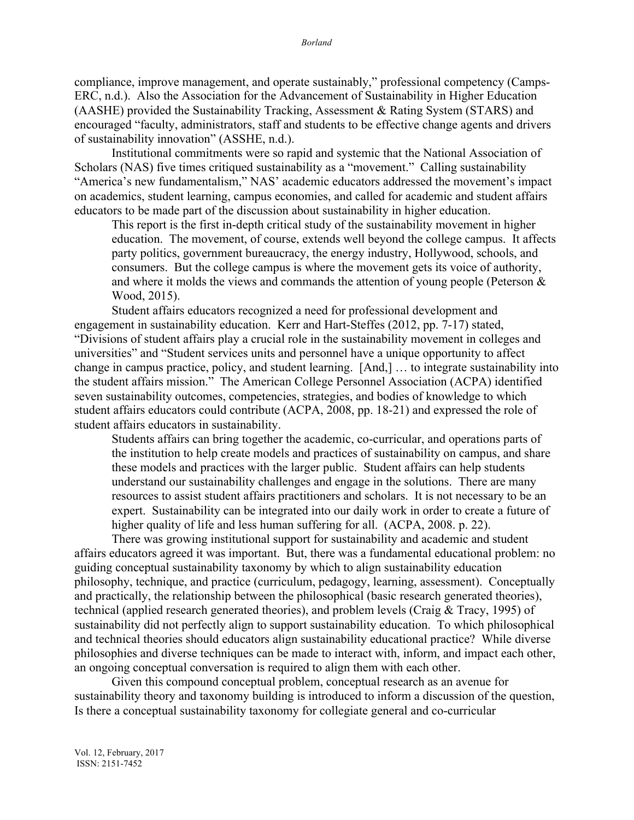compliance, improve management, and operate sustainably," professional competency (Camps-ERC, n.d.). Also the Association for the Advancement of Sustainability in Higher Education (AASHE) provided the Sustainability Tracking, Assessment & Rating System (STARS) and encouraged "faculty, administrators, staff and students to be effective change agents and drivers of sustainability innovation" (ASSHE, n.d.).

Institutional commitments were so rapid and systemic that the National Association of Scholars (NAS) five times critiqued sustainability as a "movement." Calling sustainability "America's new fundamentalism," NAS' academic educators addressed the movement's impact on academics, student learning, campus economies, and called for academic and student affairs educators to be made part of the discussion about sustainability in higher education.

This report is the first in-depth critical study of the sustainability movement in higher education. The movement, of course, extends well beyond the college campus. It affects party politics, government bureaucracy, the energy industry, Hollywood, schools, and consumers. But the college campus is where the movement gets its voice of authority, and where it molds the views and commands the attention of young people (Peterson  $\&$ Wood, 2015).

Student affairs educators recognized a need for professional development and engagement in sustainability education. Kerr and Hart-Steffes (2012, pp. 7-17) stated, "Divisions of student affairs play a crucial role in the sustainability movement in colleges and universities" and "Student services units and personnel have a unique opportunity to affect change in campus practice, policy, and student learning. [And,] … to integrate sustainability into the student affairs mission." The American College Personnel Association (ACPA) identified seven sustainability outcomes, competencies, strategies, and bodies of knowledge to which student affairs educators could contribute (ACPA, 2008, pp. 18-21) and expressed the role of student affairs educators in sustainability.

Students affairs can bring together the academic, co-curricular, and operations parts of the institution to help create models and practices of sustainability on campus, and share these models and practices with the larger public. Student affairs can help students understand our sustainability challenges and engage in the solutions. There are many resources to assist student affairs practitioners and scholars. It is not necessary to be an expert. Sustainability can be integrated into our daily work in order to create a future of higher quality of life and less human suffering for all. (ACPA, 2008. p. 22).

There was growing institutional support for sustainability and academic and student affairs educators agreed it was important. But, there was a fundamental educational problem: no guiding conceptual sustainability taxonomy by which to align sustainability education philosophy, technique, and practice (curriculum, pedagogy, learning, assessment). Conceptually and practically, the relationship between the philosophical (basic research generated theories), technical (applied research generated theories), and problem levels (Craig & Tracy, 1995) of sustainability did not perfectly align to support sustainability education. To which philosophical and technical theories should educators align sustainability educational practice? While diverse philosophies and diverse techniques can be made to interact with, inform, and impact each other, an ongoing conceptual conversation is required to align them with each other.

Given this compound conceptual problem, conceptual research as an avenue for sustainability theory and taxonomy building is introduced to inform a discussion of the question, Is there a conceptual sustainability taxonomy for collegiate general and co-curricular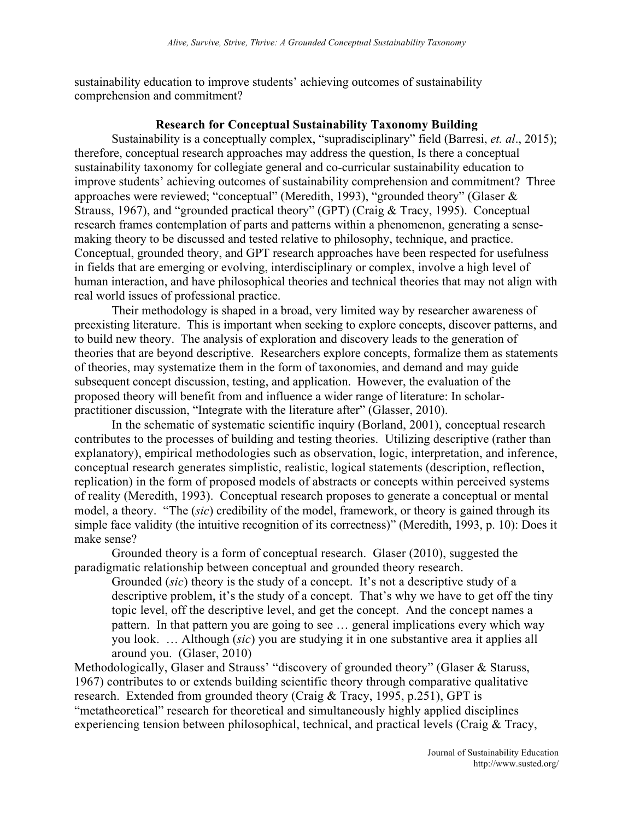sustainability education to improve students' achieving outcomes of sustainability comprehension and commitment?

# **Research for Conceptual Sustainability Taxonomy Building**

Sustainability is a conceptually complex, "supradisciplinary" field (Barresi, *et. al*., 2015); therefore, conceptual research approaches may address the question, Is there a conceptual sustainability taxonomy for collegiate general and co-curricular sustainability education to improve students' achieving outcomes of sustainability comprehension and commitment? Three approaches were reviewed; "conceptual" (Meredith, 1993), "grounded theory" (Glaser & Strauss, 1967), and "grounded practical theory" (GPT) (Craig & Tracy, 1995). Conceptual research frames contemplation of parts and patterns within a phenomenon, generating a sensemaking theory to be discussed and tested relative to philosophy, technique, and practice. Conceptual, grounded theory, and GPT research approaches have been respected for usefulness in fields that are emerging or evolving, interdisciplinary or complex, involve a high level of human interaction, and have philosophical theories and technical theories that may not align with real world issues of professional practice.

Their methodology is shaped in a broad, very limited way by researcher awareness of preexisting literature. This is important when seeking to explore concepts, discover patterns, and to build new theory. The analysis of exploration and discovery leads to the generation of theories that are beyond descriptive. Researchers explore concepts, formalize them as statements of theories, may systematize them in the form of taxonomies, and demand and may guide subsequent concept discussion, testing, and application. However, the evaluation of the proposed theory will benefit from and influence a wider range of literature: In scholarpractitioner discussion, "Integrate with the literature after" (Glasser, 2010).

In the schematic of systematic scientific inquiry (Borland, 2001), conceptual research contributes to the processes of building and testing theories. Utilizing descriptive (rather than explanatory), empirical methodologies such as observation, logic, interpretation, and inference, conceptual research generates simplistic, realistic, logical statements (description, reflection, replication) in the form of proposed models of abstracts or concepts within perceived systems of reality (Meredith, 1993). Conceptual research proposes to generate a conceptual or mental model, a theory. "The (*sic*) credibility of the model, framework, or theory is gained through its simple face validity (the intuitive recognition of its correctness)" (Meredith, 1993, p. 10): Does it make sense?

Grounded theory is a form of conceptual research. Glaser (2010), suggested the paradigmatic relationship between conceptual and grounded theory research.

Grounded (*sic*) theory is the study of a concept. It's not a descriptive study of a descriptive problem, it's the study of a concept. That's why we have to get off the tiny topic level, off the descriptive level, and get the concept. And the concept names a pattern. In that pattern you are going to see … general implications every which way you look. … Although (*sic*) you are studying it in one substantive area it applies all around you. (Glaser, 2010)

Methodologically, Glaser and Strauss' "discovery of grounded theory" (Glaser & Staruss, 1967) contributes to or extends building scientific theory through comparative qualitative research. Extended from grounded theory (Craig & Tracy, 1995, p.251), GPT is "metatheoretical" research for theoretical and simultaneously highly applied disciplines experiencing tension between philosophical, technical, and practical levels (Craig & Tracy,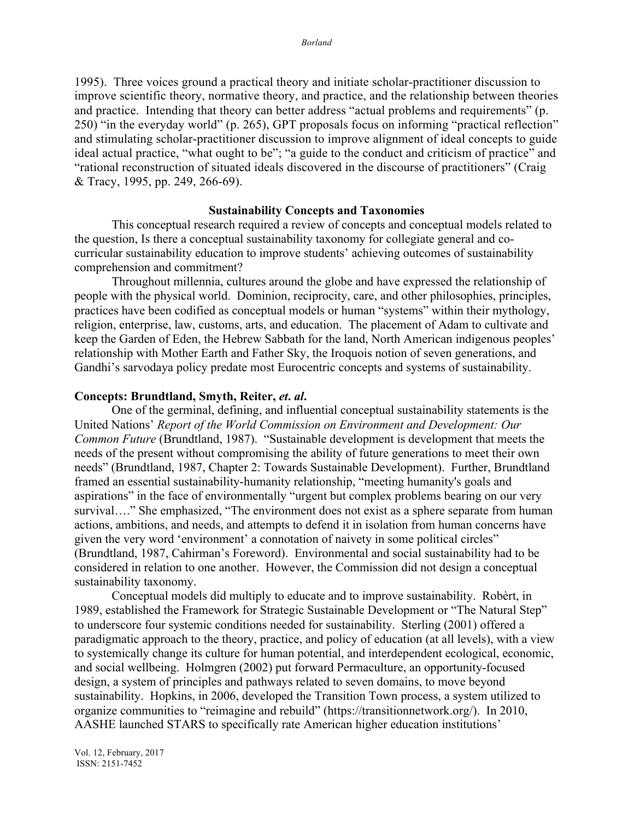1995). Three voices ground a practical theory and initiate scholar-practitioner discussion to improve scientific theory, normative theory, and practice, and the relationship between theories and practice. Intending that theory can better address "actual problems and requirements" (p. 250) "in the everyday world" (p. 265), GPT proposals focus on informing "practical reflection" and stimulating scholar-practitioner discussion to improve alignment of ideal concepts to guide ideal actual practice, "what ought to be"; "a guide to the conduct and criticism of practice" and "rational reconstruction of situated ideals discovered in the discourse of practitioners" (Craig & Tracy, 1995, pp. 249, 266-69).

### **Sustainability Concepts and Taxonomies**

This conceptual research required a review of concepts and conceptual models related to the question, Is there a conceptual sustainability taxonomy for collegiate general and cocurricular sustainability education to improve students' achieving outcomes of sustainability comprehension and commitment?

Throughout millennia, cultures around the globe and have expressed the relationship of people with the physical world. Dominion, reciprocity, care, and other philosophies, principles, practices have been codified as conceptual models or human "systems" within their mythology, religion, enterprise, law, customs, arts, and education. The placement of Adam to cultivate and keep the Garden of Eden, the Hebrew Sabbath for the land, North American indigenous peoples' relationship with Mother Earth and Father Sky, the Iroquois notion of seven generations, and Gandhi's sarvodaya policy predate most Eurocentric concepts and systems of sustainability.

## **Concepts: Brundtland, Smyth, Reiter,** *et***.** *al***.**

One of the germinal, defining, and influential conceptual sustainability statements is the United Nations' *Report of the World Commission on Environment and Development: Our Common Future* (Brundtland, 1987). "Sustainable development is development that meets the needs of the present without compromising the ability of future generations to meet their own needs" (Brundtland, 1987, Chapter 2: Towards Sustainable Development). Further, Brundtland framed an essential sustainability-humanity relationship, "meeting humanity's goals and aspirations" in the face of environmentally "urgent but complex problems bearing on our very survival...." She emphasized, "The environment does not exist as a sphere separate from human actions, ambitions, and needs, and attempts to defend it in isolation from human concerns have given the very word 'environment' a connotation of naivety in some political circles" (Brundtland, 1987, Cahirman's Foreword). Environmental and social sustainability had to be considered in relation to one another. However, the Commission did not design a conceptual sustainability taxonomy.

Conceptual models did multiply to educate and to improve sustainability. Robèrt, in 1989, established the Framework for Strategic Sustainable Development or "The Natural Step" to underscore four systemic conditions needed for sustainability. Sterling (2001) offered a paradigmatic approach to the theory, practice, and policy of education (at all levels), with a view to systemically change its culture for human potential, and interdependent ecological, economic, and social wellbeing. Holmgren (2002) put forward Permaculture, an opportunity-focused design, a system of principles and pathways related to seven domains, to move beyond sustainability. Hopkins, in 2006, developed the Transition Town process, a system utilized to organize communities to "reimagine and rebuild" (https://transitionnetwork.org/). In 2010, AASHE launched STARS to specifically rate American higher education institutions'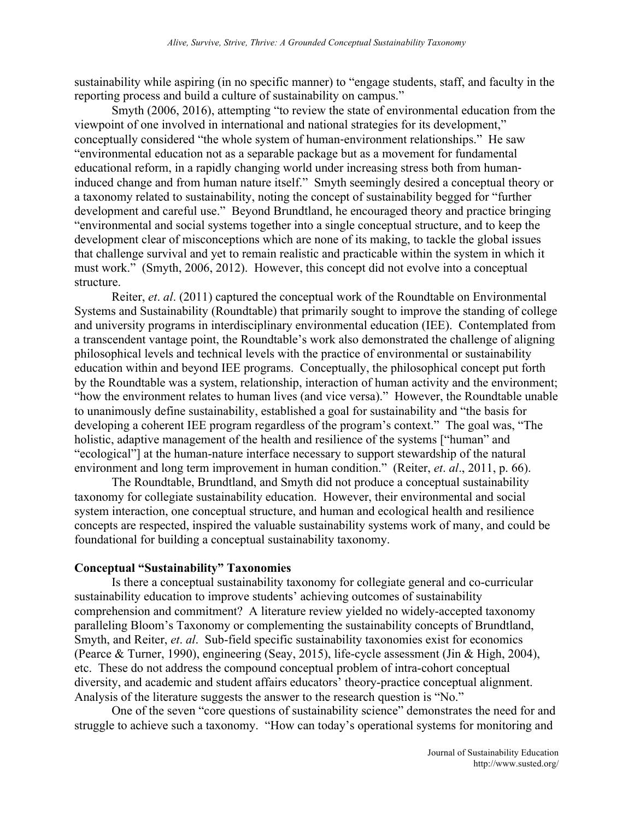sustainability while aspiring (in no specific manner) to "engage students, staff, and faculty in the reporting process and build a culture of sustainability on campus."

Smyth (2006, 2016), attempting "to review the state of environmental education from the viewpoint of one involved in international and national strategies for its development," conceptually considered "the whole system of human-environment relationships." He saw "environmental education not as a separable package but as a movement for fundamental educational reform, in a rapidly changing world under increasing stress both from humaninduced change and from human nature itself." Smyth seemingly desired a conceptual theory or a taxonomy related to sustainability, noting the concept of sustainability begged for "further development and careful use." Beyond Brundtland, he encouraged theory and practice bringing "environmental and social systems together into a single conceptual structure, and to keep the development clear of misconceptions which are none of its making, to tackle the global issues that challenge survival and yet to remain realistic and practicable within the system in which it must work." (Smyth, 2006, 2012). However, this concept did not evolve into a conceptual structure.

Reiter, *et*. *al*. (2011) captured the conceptual work of the Roundtable on Environmental Systems and Sustainability (Roundtable) that primarily sought to improve the standing of college and university programs in interdisciplinary environmental education (IEE). Contemplated from a transcendent vantage point, the Roundtable's work also demonstrated the challenge of aligning philosophical levels and technical levels with the practice of environmental or sustainability education within and beyond IEE programs. Conceptually, the philosophical concept put forth by the Roundtable was a system, relationship, interaction of human activity and the environment; "how the environment relates to human lives (and vice versa)." However, the Roundtable unable to unanimously define sustainability, established a goal for sustainability and "the basis for developing a coherent IEE program regardless of the program's context." The goal was, "The holistic, adaptive management of the health and resilience of the systems ["human" and "ecological"] at the human-nature interface necessary to support stewardship of the natural environment and long term improvement in human condition." (Reiter, *et*. *al*., 2011, p. 66).

The Roundtable, Brundtland, and Smyth did not produce a conceptual sustainability taxonomy for collegiate sustainability education. However, their environmental and social system interaction, one conceptual structure, and human and ecological health and resilience concepts are respected, inspired the valuable sustainability systems work of many, and could be foundational for building a conceptual sustainability taxonomy.

### **Conceptual "Sustainability" Taxonomies**

Is there a conceptual sustainability taxonomy for collegiate general and co-curricular sustainability education to improve students' achieving outcomes of sustainability comprehension and commitment? A literature review yielded no widely-accepted taxonomy paralleling Bloom's Taxonomy or complementing the sustainability concepts of Brundtland, Smyth, and Reiter, *et*. *al*. Sub-field specific sustainability taxonomies exist for economics (Pearce & Turner, 1990), engineering (Seay, 2015), life-cycle assessment (Jin & High, 2004), etc. These do not address the compound conceptual problem of intra-cohort conceptual diversity, and academic and student affairs educators' theory-practice conceptual alignment. Analysis of the literature suggests the answer to the research question is "No."

One of the seven "core questions of sustainability science" demonstrates the need for and struggle to achieve such a taxonomy. "How can today's operational systems for monitoring and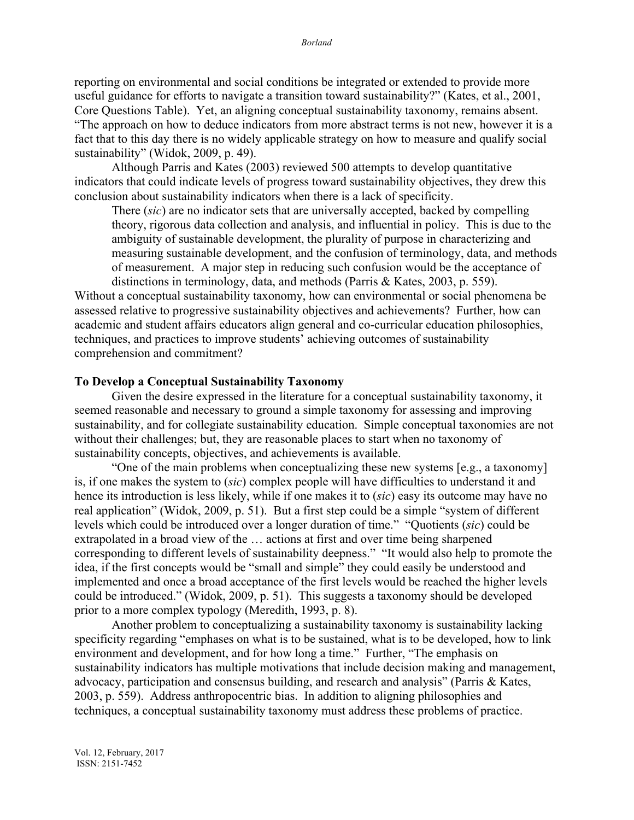reporting on environmental and social conditions be integrated or extended to provide more useful guidance for efforts to navigate a transition toward sustainability?" (Kates, et al., 2001, Core Questions Table). Yet, an aligning conceptual sustainability taxonomy, remains absent. "The approach on how to deduce indicators from more abstract terms is not new, however it is a fact that to this day there is no widely applicable strategy on how to measure and qualify social sustainability" (Widok, 2009, p. 49).

Although Parris and Kates (2003) reviewed 500 attempts to develop quantitative indicators that could indicate levels of progress toward sustainability objectives, they drew this conclusion about sustainability indicators when there is a lack of specificity.

There (*sic*) are no indicator sets that are universally accepted, backed by compelling theory, rigorous data collection and analysis, and influential in policy. This is due to the ambiguity of sustainable development, the plurality of purpose in characterizing and measuring sustainable development, and the confusion of terminology, data, and methods of measurement. A major step in reducing such confusion would be the acceptance of distinctions in terminology, data, and methods (Parris & Kates, 2003, p. 559).

Without a conceptual sustainability taxonomy, how can environmental or social phenomena be assessed relative to progressive sustainability objectives and achievements? Further, how can academic and student affairs educators align general and co-curricular education philosophies, techniques, and practices to improve students' achieving outcomes of sustainability comprehension and commitment?

# **To Develop a Conceptual Sustainability Taxonomy**

Given the desire expressed in the literature for a conceptual sustainability taxonomy, it seemed reasonable and necessary to ground a simple taxonomy for assessing and improving sustainability, and for collegiate sustainability education. Simple conceptual taxonomies are not without their challenges; but, they are reasonable places to start when no taxonomy of sustainability concepts, objectives, and achievements is available.

"One of the main problems when conceptualizing these new systems [e.g., a taxonomy] is, if one makes the system to (*sic*) complex people will have difficulties to understand it and hence its introduction is less likely, while if one makes it to (*sic*) easy its outcome may have no real application" (Widok, 2009, p. 51). But a first step could be a simple "system of different levels which could be introduced over a longer duration of time." "Quotients (*sic*) could be extrapolated in a broad view of the … actions at first and over time being sharpened corresponding to different levels of sustainability deepness." "It would also help to promote the idea, if the first concepts would be "small and simple" they could easily be understood and implemented and once a broad acceptance of the first levels would be reached the higher levels could be introduced." (Widok, 2009, p. 51). This suggests a taxonomy should be developed prior to a more complex typology (Meredith, 1993, p. 8).

Another problem to conceptualizing a sustainability taxonomy is sustainability lacking specificity regarding "emphases on what is to be sustained, what is to be developed, how to link environment and development, and for how long a time." Further, "The emphasis on sustainability indicators has multiple motivations that include decision making and management, advocacy, participation and consensus building, and research and analysis" (Parris & Kates, 2003, p. 559). Address anthropocentric bias. In addition to aligning philosophies and techniques, a conceptual sustainability taxonomy must address these problems of practice.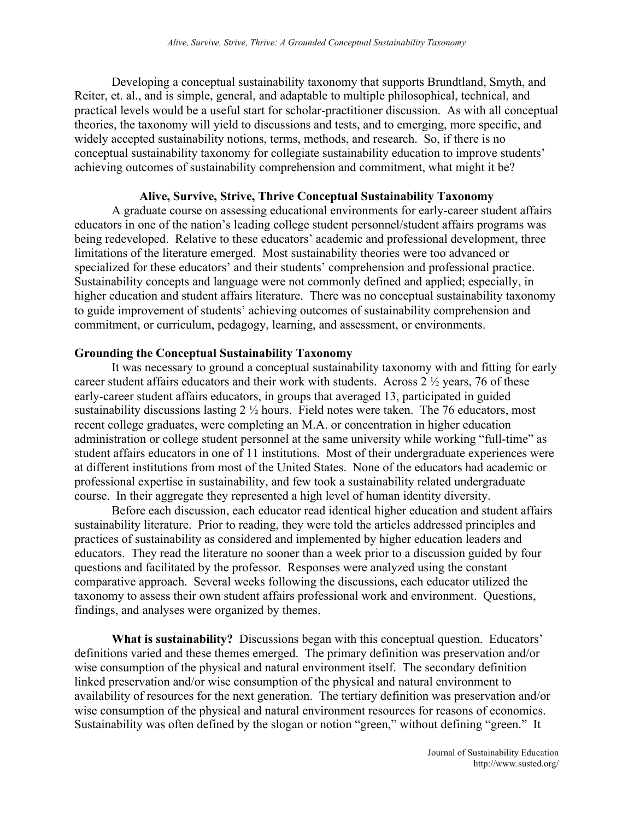Developing a conceptual sustainability taxonomy that supports Brundtland, Smyth, and Reiter, et. al., and is simple, general, and adaptable to multiple philosophical, technical, and practical levels would be a useful start for scholar-practitioner discussion. As with all conceptual theories, the taxonomy will yield to discussions and tests, and to emerging, more specific, and widely accepted sustainability notions, terms, methods, and research. So, if there is no conceptual sustainability taxonomy for collegiate sustainability education to improve students' achieving outcomes of sustainability comprehension and commitment, what might it be?

# **Alive, Survive, Strive, Thrive Conceptual Sustainability Taxonomy**

A graduate course on assessing educational environments for early-career student affairs educators in one of the nation's leading college student personnel/student affairs programs was being redeveloped. Relative to these educators' academic and professional development, three limitations of the literature emerged. Most sustainability theories were too advanced or specialized for these educators' and their students' comprehension and professional practice. Sustainability concepts and language were not commonly defined and applied; especially, in higher education and student affairs literature. There was no conceptual sustainability taxonomy to guide improvement of students' achieving outcomes of sustainability comprehension and commitment, or curriculum, pedagogy, learning, and assessment, or environments.

# **Grounding the Conceptual Sustainability Taxonomy**

It was necessary to ground a conceptual sustainability taxonomy with and fitting for early career student affairs educators and their work with students. Across 2 ½ years, 76 of these early-career student affairs educators, in groups that averaged 13, participated in guided sustainability discussions lasting 2 ½ hours. Field notes were taken. The 76 educators, most recent college graduates, were completing an M.A. or concentration in higher education administration or college student personnel at the same university while working "full-time" as student affairs educators in one of 11 institutions. Most of their undergraduate experiences were at different institutions from most of the United States. None of the educators had academic or professional expertise in sustainability, and few took a sustainability related undergraduate course. In their aggregate they represented a high level of human identity diversity.

Before each discussion, each educator read identical higher education and student affairs sustainability literature. Prior to reading, they were told the articles addressed principles and practices of sustainability as considered and implemented by higher education leaders and educators. They read the literature no sooner than a week prior to a discussion guided by four questions and facilitated by the professor. Responses were analyzed using the constant comparative approach. Several weeks following the discussions, each educator utilized the taxonomy to assess their own student affairs professional work and environment. Questions, findings, and analyses were organized by themes.

**What is sustainability?** Discussions began with this conceptual question. Educators' definitions varied and these themes emerged. The primary definition was preservation and/or wise consumption of the physical and natural environment itself. The secondary definition linked preservation and/or wise consumption of the physical and natural environment to availability of resources for the next generation. The tertiary definition was preservation and/or wise consumption of the physical and natural environment resources for reasons of economics. Sustainability was often defined by the slogan or notion "green," without defining "green." It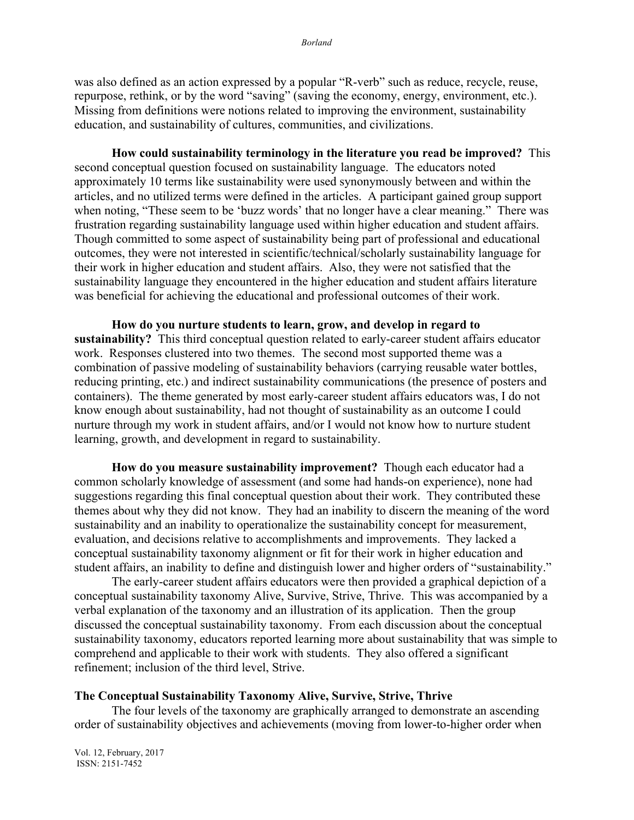was also defined as an action expressed by a popular "R-verb" such as reduce, recycle, reuse, repurpose, rethink, or by the word "saving" (saving the economy, energy, environment, etc.). Missing from definitions were notions related to improving the environment, sustainability education, and sustainability of cultures, communities, and civilizations.

**How could sustainability terminology in the literature you read be improved?** This second conceptual question focused on sustainability language. The educators noted approximately 10 terms like sustainability were used synonymously between and within the articles, and no utilized terms were defined in the articles. A participant gained group support when noting, "These seem to be 'buzz words' that no longer have a clear meaning." There was frustration regarding sustainability language used within higher education and student affairs. Though committed to some aspect of sustainability being part of professional and educational outcomes, they were not interested in scientific/technical/scholarly sustainability language for their work in higher education and student affairs. Also, they were not satisfied that the sustainability language they encountered in the higher education and student affairs literature was beneficial for achieving the educational and professional outcomes of their work.

**How do you nurture students to learn, grow, and develop in regard to sustainability?** This third conceptual question related to early-career student affairs educator work. Responses clustered into two themes. The second most supported theme was a combination of passive modeling of sustainability behaviors (carrying reusable water bottles, reducing printing, etc.) and indirect sustainability communications (the presence of posters and containers). The theme generated by most early-career student affairs educators was, I do not know enough about sustainability, had not thought of sustainability as an outcome I could nurture through my work in student affairs, and/or I would not know how to nurture student learning, growth, and development in regard to sustainability.

**How do you measure sustainability improvement?** Though each educator had a common scholarly knowledge of assessment (and some had hands-on experience), none had suggestions regarding this final conceptual question about their work. They contributed these themes about why they did not know. They had an inability to discern the meaning of the word sustainability and an inability to operationalize the sustainability concept for measurement, evaluation, and decisions relative to accomplishments and improvements. They lacked a conceptual sustainability taxonomy alignment or fit for their work in higher education and student affairs, an inability to define and distinguish lower and higher orders of "sustainability."

The early-career student affairs educators were then provided a graphical depiction of a conceptual sustainability taxonomy Alive, Survive, Strive, Thrive. This was accompanied by a verbal explanation of the taxonomy and an illustration of its application. Then the group discussed the conceptual sustainability taxonomy. From each discussion about the conceptual sustainability taxonomy, educators reported learning more about sustainability that was simple to comprehend and applicable to their work with students. They also offered a significant refinement; inclusion of the third level, Strive.

# **The Conceptual Sustainability Taxonomy Alive, Survive, Strive, Thrive**

The four levels of the taxonomy are graphically arranged to demonstrate an ascending order of sustainability objectives and achievements (moving from lower-to-higher order when

Vol. 12, February, 2017 ISSN: 2151-7452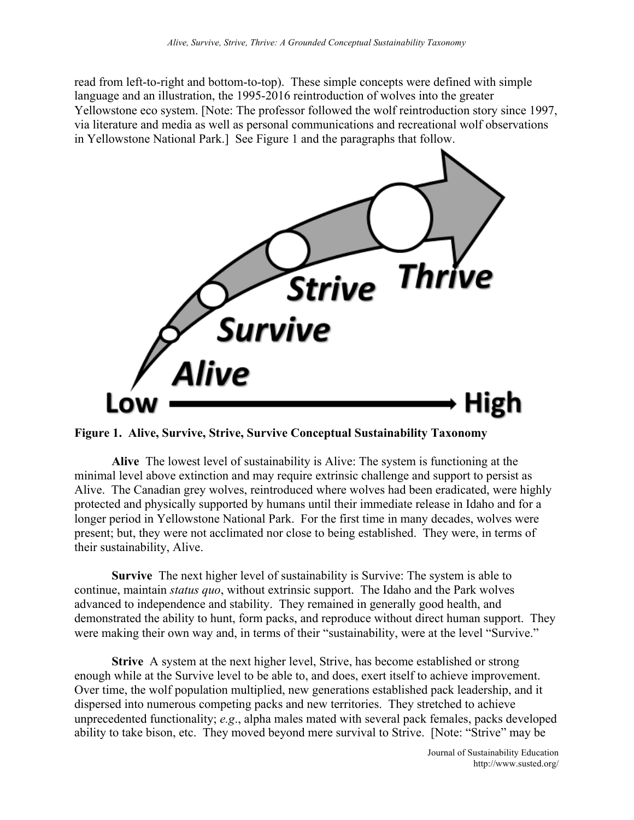read from left-to-right and bottom-to-top). These simple concepts were defined with simple language and an illustration, the 1995-2016 reintroduction of wolves into the greater Yellowstone eco system. [Note: The professor followed the wolf reintroduction story since 1997, via literature and media as well as personal communications and recreational wolf observations in Yellowstone National Park.] See Figure 1 and the paragraphs that follow.



**Figure 1. Alive, Survive, Strive, Survive Conceptual Sustainability Taxonomy**

**Alive** The lowest level of sustainability is Alive: The system is functioning at the minimal level above extinction and may require extrinsic challenge and support to persist as Alive. The Canadian grey wolves, reintroduced where wolves had been eradicated, were highly protected and physically supported by humans until their immediate release in Idaho and for a longer period in Yellowstone National Park. For the first time in many decades, wolves were present; but, they were not acclimated nor close to being established. They were, in terms of their sustainability, Alive.

**Survive** The next higher level of sustainability is Survive: The system is able to continue, maintain *status quo*, without extrinsic support. The Idaho and the Park wolves advanced to independence and stability. They remained in generally good health, and demonstrated the ability to hunt, form packs, and reproduce without direct human support. They were making their own way and, in terms of their "sustainability, were at the level "Survive."

**Strive** A system at the next higher level, Strive, has become established or strong enough while at the Survive level to be able to, and does, exert itself to achieve improvement. Over time, the wolf population multiplied, new generations established pack leadership, and it dispersed into numerous competing packs and new territories. They stretched to achieve unprecedented functionality; *e.g*., alpha males mated with several pack females, packs developed ability to take bison, etc. They moved beyond mere survival to Strive. [Note: "Strive" may be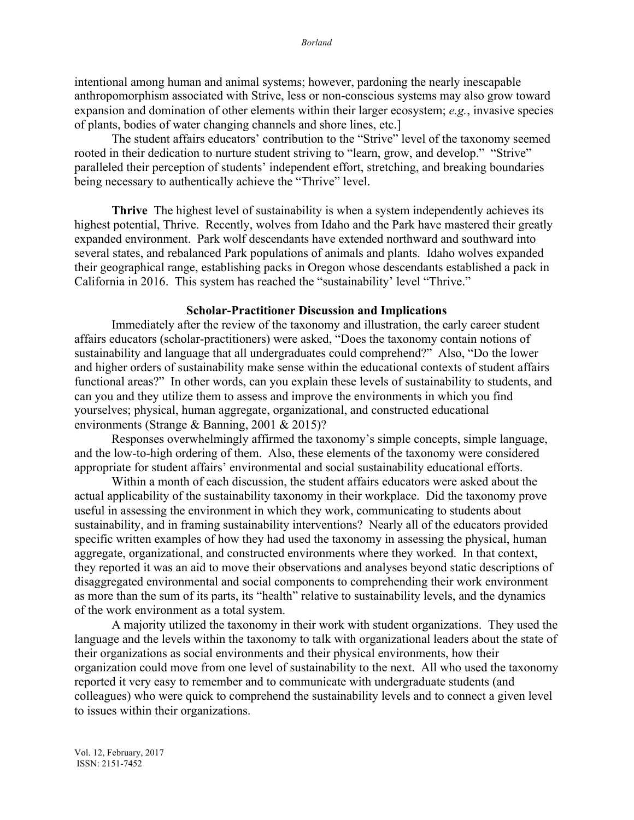intentional among human and animal systems; however, pardoning the nearly inescapable anthropomorphism associated with Strive, less or non-conscious systems may also grow toward expansion and domination of other elements within their larger ecosystem; *e.g.*, invasive species of plants, bodies of water changing channels and shore lines, etc.]

The student affairs educators' contribution to the "Strive" level of the taxonomy seemed rooted in their dedication to nurture student striving to "learn, grow, and develop." "Strive" paralleled their perception of students' independent effort, stretching, and breaking boundaries being necessary to authentically achieve the "Thrive" level.

**Thrive** The highest level of sustainability is when a system independently achieves its highest potential, Thrive. Recently, wolves from Idaho and the Park have mastered their greatly expanded environment. Park wolf descendants have extended northward and southward into several states, and rebalanced Park populations of animals and plants. Idaho wolves expanded their geographical range, establishing packs in Oregon whose descendants established a pack in California in 2016. This system has reached the "sustainability' level "Thrive."

#### **Scholar-Practitioner Discussion and Implications**

Immediately after the review of the taxonomy and illustration, the early career student affairs educators (scholar-practitioners) were asked, "Does the taxonomy contain notions of sustainability and language that all undergraduates could comprehend?" Also, "Do the lower and higher orders of sustainability make sense within the educational contexts of student affairs functional areas?" In other words, can you explain these levels of sustainability to students, and can you and they utilize them to assess and improve the environments in which you find yourselves; physical, human aggregate, organizational, and constructed educational environments (Strange & Banning, 2001 & 2015)?

Responses overwhelmingly affirmed the taxonomy's simple concepts, simple language, and the low-to-high ordering of them. Also, these elements of the taxonomy were considered appropriate for student affairs' environmental and social sustainability educational efforts.

Within a month of each discussion, the student affairs educators were asked about the actual applicability of the sustainability taxonomy in their workplace. Did the taxonomy prove useful in assessing the environment in which they work, communicating to students about sustainability, and in framing sustainability interventions? Nearly all of the educators provided specific written examples of how they had used the taxonomy in assessing the physical, human aggregate, organizational, and constructed environments where they worked. In that context, they reported it was an aid to move their observations and analyses beyond static descriptions of disaggregated environmental and social components to comprehending their work environment as more than the sum of its parts, its "health" relative to sustainability levels, and the dynamics of the work environment as a total system.

A majority utilized the taxonomy in their work with student organizations. They used the language and the levels within the taxonomy to talk with organizational leaders about the state of their organizations as social environments and their physical environments, how their organization could move from one level of sustainability to the next. All who used the taxonomy reported it very easy to remember and to communicate with undergraduate students (and colleagues) who were quick to comprehend the sustainability levels and to connect a given level to issues within their organizations.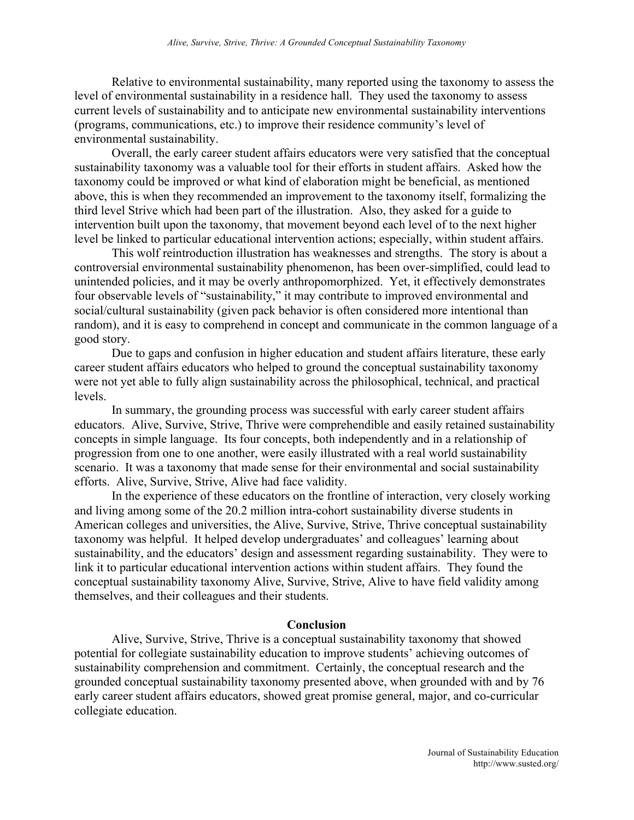Relative to environmental sustainability, many reported using the taxonomy to assess the level of environmental sustainability in a residence hall. They used the taxonomy to assess current levels of sustainability and to anticipate new environmental sustainability interventions (programs, communications, etc.) to improve their residence community's level of environmental sustainability.

Overall, the early career student affairs educators were very satisfied that the conceptual sustainability taxonomy was a valuable tool for their efforts in student affairs. Asked how the taxonomy could be improved or what kind of elaboration might be beneficial, as mentioned above, this is when they recommended an improvement to the taxonomy itself, formalizing the third level Strive which had been part of the illustration. Also, they asked for a guide to intervention built upon the taxonomy, that movement beyond each level of to the next higher level be linked to particular educational intervention actions; especially, within student affairs.

This wolf reintroduction illustration has weaknesses and strengths. The story is about a controversial environmental sustainability phenomenon, has been over-simplified, could lead to unintended policies, and it may be overly anthropomorphized. Yet, it effectively demonstrates four observable levels of "sustainability," it may contribute to improved environmental and social/cultural sustainability (given pack behavior is often considered more intentional than random), and it is easy to comprehend in concept and communicate in the common language of a good story.

Due to gaps and confusion in higher education and student affairs literature, these early career student affairs educators who helped to ground the conceptual sustainability taxonomy were not yet able to fully align sustainability across the philosophical, technical, and practical levels.

In summary, the grounding process was successful with early career student affairs educators. Alive, Survive, Strive, Thrive were comprehendible and easily retained sustainability concepts in simple language. Its four concepts, both independently and in a relationship of progression from one to one another, were easily illustrated with a real world sustainability scenario. It was a taxonomy that made sense for their environmental and social sustainability efforts. Alive, Survive, Strive, Alive had face validity.

In the experience of these educators on the frontline of interaction, very closely working and living among some of the 20.2 million intra-cohort sustainability diverse students in American colleges and universities, the Alive, Survive, Strive, Thrive conceptual sustainability taxonomy was helpful. It helped develop undergraduates' and colleagues' learning about sustainability, and the educators' design and assessment regarding sustainability. They were to link it to particular educational intervention actions within student affairs. They found the conceptual sustainability taxonomy Alive, Survive, Strive, Alive to have field validity among themselves, and their colleagues and their students.

#### **Conclusion**

Alive, Survive, Strive, Thrive is a conceptual sustainability taxonomy that showed potential for collegiate sustainability education to improve students' achieving outcomes of sustainability comprehension and commitment. Certainly, the conceptual research and the grounded conceptual sustainability taxonomy presented above, when grounded with and by 76 early career student affairs educators, showed great promise general, major, and co-curricular collegiate education.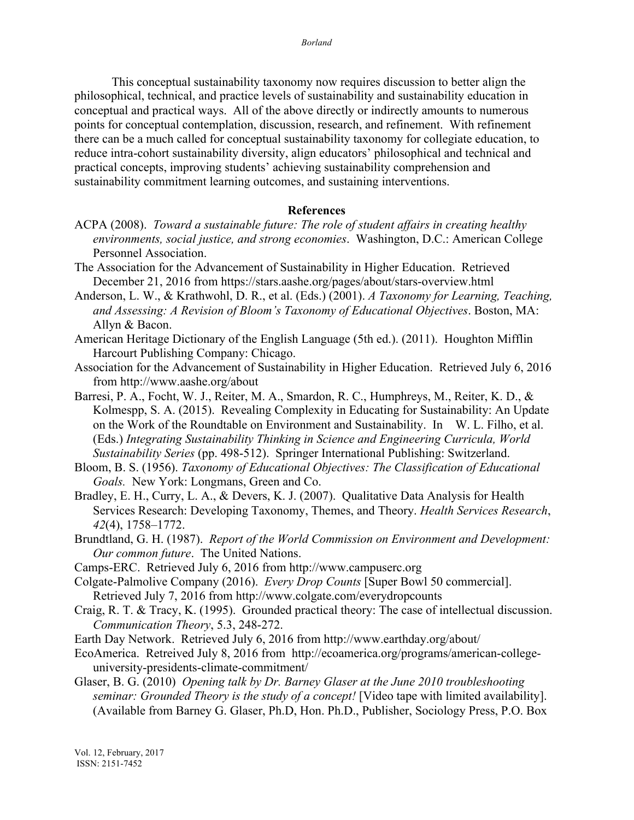This conceptual sustainability taxonomy now requires discussion to better align the philosophical, technical, and practice levels of sustainability and sustainability education in conceptual and practical ways. All of the above directly or indirectly amounts to numerous points for conceptual contemplation, discussion, research, and refinement. With refinement there can be a much called for conceptual sustainability taxonomy for collegiate education, to reduce intra-cohort sustainability diversity, align educators' philosophical and technical and practical concepts, improving students' achieving sustainability comprehension and sustainability commitment learning outcomes, and sustaining interventions.

### **References**

- ACPA (2008). *Toward a sustainable future: The role of student affairs in creating healthy environments, social justice, and strong economies*. Washington, D.C.: American College Personnel Association.
- The Association for the Advancement of Sustainability in Higher Education. Retrieved December 21, 2016 from https://stars.aashe.org/pages/about/stars-overview.html
- Anderson, L. W., & Krathwohl, D. R., et al. (Eds.) (2001). *A Taxonomy for Learning, Teaching, and Assessing: A Revision of Bloom's Taxonomy of Educational Objectives*. Boston, MA: Allyn & Bacon.
- American Heritage Dictionary of the English Language (5th ed.). (2011). Houghton Mifflin Harcourt Publishing Company: Chicago.

Association for the Advancement of Sustainability in Higher Education. Retrieved July 6, 2016 from http://www.aashe.org/about

- Barresi, P. A., Focht, W. J., Reiter, M. A., Smardon, R. C., Humphreys, M., Reiter, K. D., & Kolmespp, S. A. (2015). Revealing Complexity in Educating for Sustainability: An Update on the Work of the Roundtable on Environment and Sustainability. In W. L. Filho, et al. (Eds.) *Integrating Sustainability Thinking in Science and Engineering Curricula, World Sustainability Series* (pp. 498-512). Springer International Publishing: Switzerland.
- Bloom, B. S. (1956). *Taxonomy of Educational Objectives: The Classification of Educational Goals.* New York: Longmans, Green and Co.
- Bradley, E. H., Curry, L. A., & Devers, K. J. (2007). Qualitative Data Analysis for Health Services Research: Developing Taxonomy, Themes, and Theory. *Health Services Research*, *42*(4), 1758–1772.
- Brundtland, G. H. (1987). *Report of the World Commission on Environment and Development: Our common future*. The United Nations.
- Camps-ERC. Retrieved July 6, 2016 from http://www.campuserc.org
- Colgate-Palmolive Company (2016). *Every Drop Counts* [Super Bowl 50 commercial]. Retrieved July 7, 2016 from http://www.colgate.com/everydropcounts
- Craig, R. T. & Tracy, K. (1995). Grounded practical theory: The case of intellectual discussion. *Communication Theory*, 5.3, 248-272.
- Earth Day Network. Retrieved July 6, 2016 from http://www.earthday.org/about/
- EcoAmerica. Retreived July 8, 2016 from http://ecoamerica.org/programs/american-collegeuniversity-presidents-climate-commitment/
- Glaser, B. G. (2010) *Opening talk by Dr. Barney Glaser at the June 2010 troubleshooting seminar: Grounded Theory is the study of a concept!* [Video tape with limited availability]. (Available from Barney G. Glaser, Ph.D, Hon. Ph.D., Publisher, Sociology Press, P.O. Box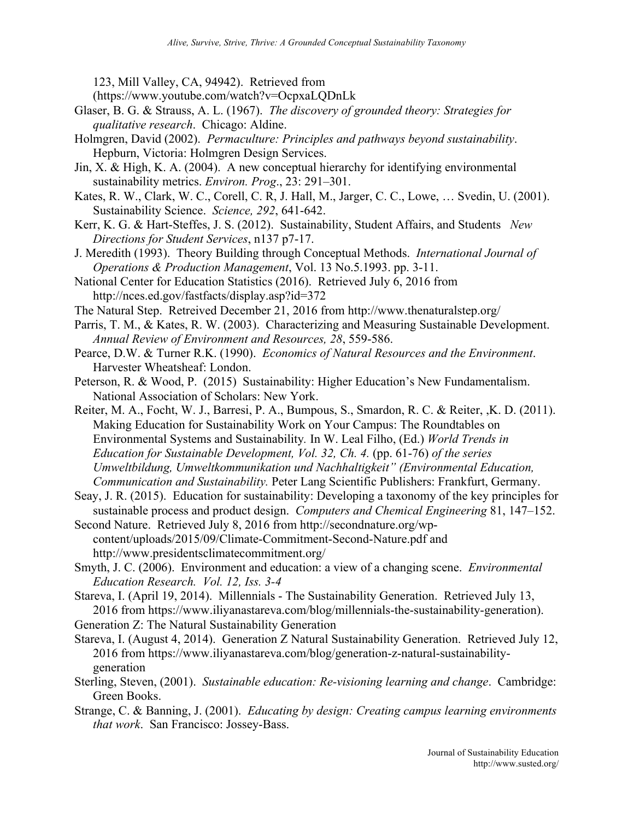123, Mill Valley, CA, 94942). Retrieved from (https://www.youtube.com/watch?v=OcpxaLQDnLk

- Glaser, B. G. & Strauss, A. L. (1967). *The discovery of grounded theory: Strategies for qualitative research*. Chicago: Aldine.
- Holmgren, David (2002). *Permaculture: Principles and pathways beyond sustainability*. Hepburn, Victoria: Holmgren Design Services.
- Jin, X. & High, K. A. (2004). A new conceptual hierarchy for identifying environmental sustainability metrics. *Environ. Prog*., 23: 291–301.
- Kates, R. W., Clark, W. C., Corell, C. R, J. Hall, M., Jarger, C. C., Lowe, … Svedin, U. (2001). Sustainability Science. *Science, 292*, 641-642.
- Kerr, K. G. & Hart-Steffes, J. S. (2012). Sustainability, Student Affairs, and Students *New Directions for Student Services*, n137 p7-17.
- J. Meredith (1993). Theory Building through Conceptual Methods. *International Journal of Operations & Production Management*, Vol. 13 No.5.1993. pp. 3-11.
- National Center for Education Statistics (2016). Retrieved July 6, 2016 from http://nces.ed.gov/fastfacts/display.asp?id=372
- The Natural Step. Retreived December 21, 2016 from http://www.thenaturalstep.org/
- Parris, T. M., & Kates, R. W. (2003). Characterizing and Measuring Sustainable Development. *Annual Review of Environment and Resources, 28*, 559-586.
- Pearce, D.W. & Turner R.K. (1990). *Economics of Natural Resources and the Environment*. Harvester Wheatsheaf: London.
- Peterson, R. & Wood, P. (2015) Sustainability: Higher Education's New Fundamentalism. National Association of Scholars: New York.
- Reiter, M. A., Focht, W. J., Barresi, P. A., Bumpous, S., Smardon, R. C. & Reiter, ,K. D. (2011). Making Education for Sustainability Work on Your Campus: The Roundtables on Environmental Systems and Sustainability*.* In W. Leal Filho, (Ed.) *World Trends in Education for Sustainable Development, Vol. 32, Ch. 4.* (pp. 61-76) *of the series Umweltbildung, Umweltkommunikation und Nachhaltigkeit" (Environmental Education, Communication and Sustainability.* Peter Lang Scientific Publishers: Frankfurt, Germany.
- Seay, J. R. (2015). Education for sustainability: Developing a taxonomy of the key principles for sustainable process and product design. *Computers and Chemical Engineering* 81, 147–152.
- Second Nature. Retrieved July 8, 2016 from http://secondnature.org/wpcontent/uploads/2015/09/Climate-Commitment-Second-Nature.pdf and http://www.presidentsclimatecommitment.org/
- Smyth, J. C. (2006). Environment and education: a view of a changing scene. *Environmental Education Research. Vol. 12, Iss. 3-4*
- Stareva, I. (April 19, 2014). Millennials The Sustainability Generation. Retrieved July 13, 2016 from https://www.iliyanastareva.com/blog/millennials-the-sustainability-generation).
- Generation Z: The Natural Sustainability Generation
- Stareva, I. (August 4, 2014). Generation Z Natural Sustainability Generation. Retrieved July 12, 2016 from https://www.iliyanastareva.com/blog/generation-z-natural-sustainabilitygeneration
- Sterling, Steven, (2001). *Sustainable education: Re-visioning learning and change*. Cambridge: Green Books.
- Strange, C. & Banning, J. (2001). *Educating by design: Creating campus learning environments that work*. San Francisco: Jossey-Bass.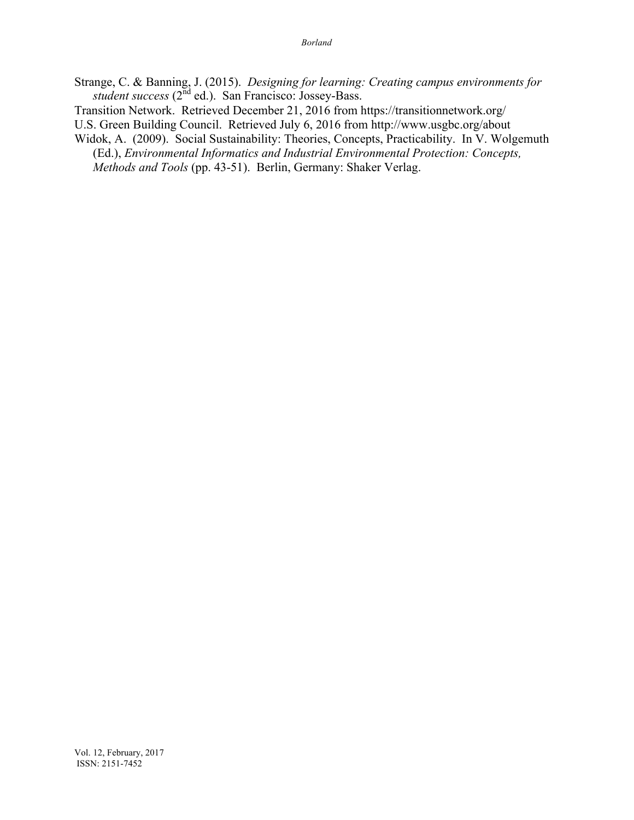- Strange, C. & Banning, J. (2015). *Designing for learning: Creating campus environments for student success* (2nd ed.). San Francisco: Jossey-Bass.
- Transition Network. Retrieved December 21, 2016 from https://transitionnetwork.org/

U.S. Green Building Council. Retrieved July 6, 2016 from http://www.usgbc.org/about

Widok, A. (2009). Social Sustainability: Theories, Concepts, Practicability. In V. Wolgemuth (Ed.), *Environmental Informatics and Industrial Environmental Protection: Concepts, Methods and Tools* (pp. 43-51). Berlin, Germany: Shaker Verlag.